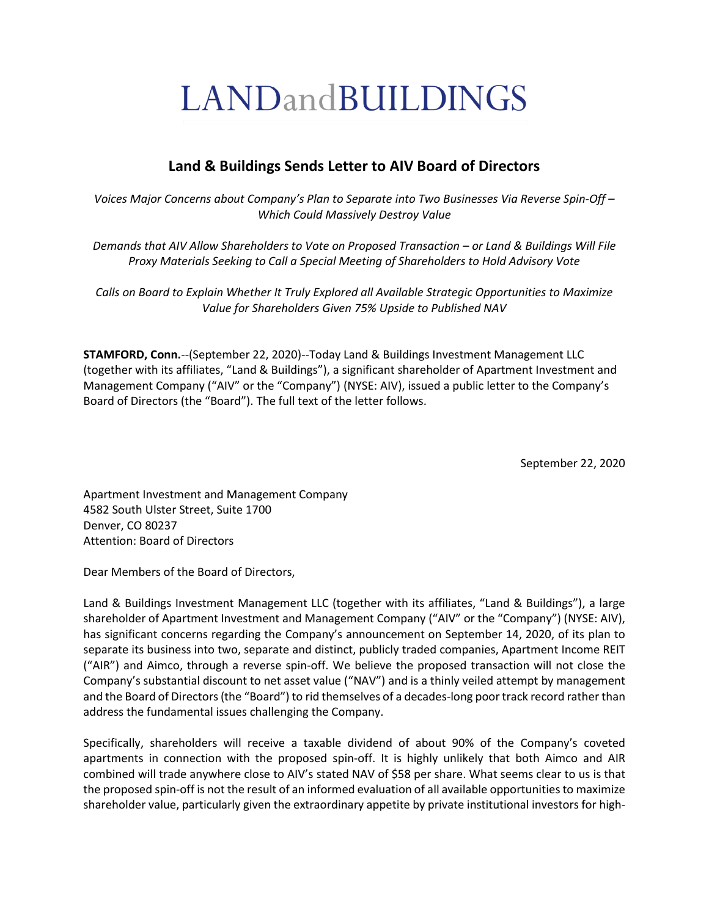## LANDandBUILDINGS

## **Land & Buildings Sends Letter to AIV Board of Directors**

*Voices Major Concerns about Company's Plan to Separate into Two Businesses Via Reverse Spin-Off – Which Could Massively Destroy Value*

*Demands that AIV Allow Shareholders to Vote on Proposed Transaction – or Land & Buildings Will File Proxy Materials Seeking to Call a Special Meeting of Shareholders to Hold Advisory Vote*

*Calls on Board to Explain Whether It Truly Explored all Available Strategic Opportunities to Maximize Value for Shareholders Given 75% Upside to Published NAV*

**STAMFORD, Conn.**--(September 22, 2020)--Today Land & Buildings Investment Management LLC (together with its affiliates, "Land & Buildings"), a significant shareholder of Apartment Investment and Management Company ("AIV" or the "Company") (NYSE: AIV), issued a public letter to the Company's Board of Directors (the "Board"). The full text of the letter follows.

September 22, 2020

Apartment Investment and Management Company 4582 South Ulster Street, Suite 1700 Denver, CO 80237 Attention: Board of Directors

Dear Members of the Board of Directors,

Land & Buildings Investment Management LLC (together with its affiliates, "Land & Buildings"), a large shareholder of Apartment Investment and Management Company ("AIV" or the "Company") (NYSE: AIV), has significant concerns regarding the Company's announcement on September 14, 2020, of its plan to separate its business into two, separate and distinct, publicly traded companies, Apartment Income REIT ("AIR") and Aimco, through a reverse spin-off. We believe the proposed transaction will not close the Company's substantial discount to net asset value ("NAV") and is a thinly veiled attempt by management and the Board of Directors (the "Board") to rid themselves of a decades-long poor track record rather than address the fundamental issues challenging the Company.

Specifically, shareholders will receive a taxable dividend of about 90% of the Company's coveted apartments in connection with the proposed spin-off. It is highly unlikely that both Aimco and AIR combined will trade anywhere close to AIV's stated NAV of \$58 per share. What seems clear to us is that the proposed spin-off is not the result of an informed evaluation of all available opportunities to maximize shareholder value, particularly given the extraordinary appetite by private institutional investors for high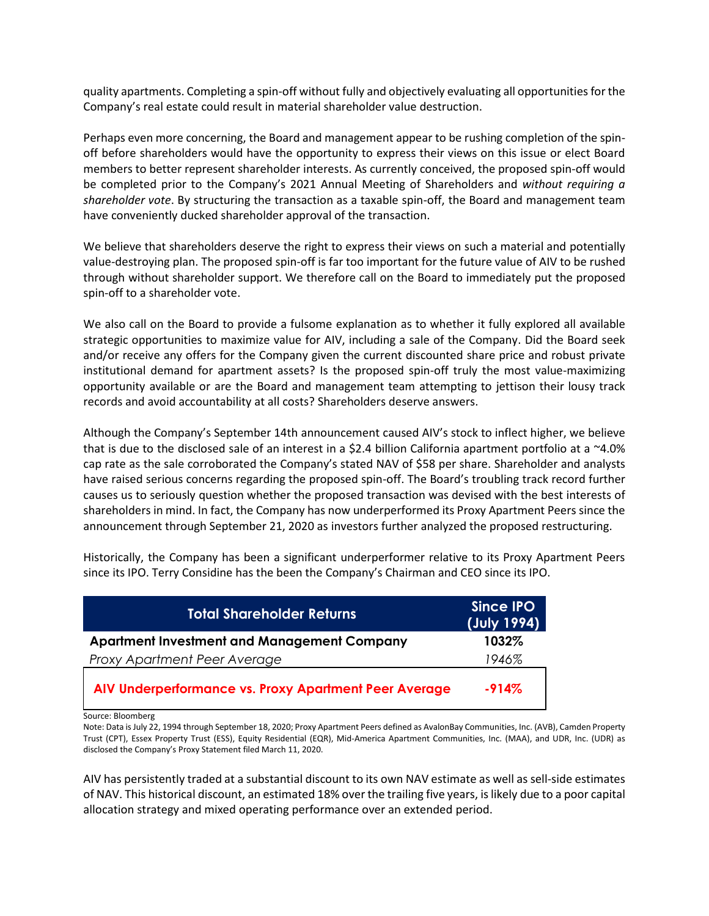quality apartments. Completing a spin-off without fully and objectively evaluating all opportunities for the Company's real estate could result in material shareholder value destruction.

Perhaps even more concerning, the Board and management appear to be rushing completion of the spinoff before shareholders would have the opportunity to express their views on this issue or elect Board members to better represent shareholder interests. As currently conceived, the proposed spin-off would be completed prior to the Company's 2021 Annual Meeting of Shareholders and *without requiring a shareholder vote*. By structuring the transaction as a taxable spin-off, the Board and management team have conveniently ducked shareholder approval of the transaction.

We believe that shareholders deserve the right to express their views on such a material and potentially value-destroying plan. The proposed spin-off is far too important for the future value of AIV to be rushed through without shareholder support. We therefore call on the Board to immediately put the proposed spin-off to a shareholder vote.

We also call on the Board to provide a fulsome explanation as to whether it fully explored all available strategic opportunities to maximize value for AIV, including a sale of the Company. Did the Board seek and/or receive any offers for the Company given the current discounted share price and robust private institutional demand for apartment assets? Is the proposed spin-off truly the most value-maximizing opportunity available or are the Board and management team attempting to jettison their lousy track records and avoid accountability at all costs? Shareholders deserve answers.

Although the Company's September 14th announcement caused AIV's stock to inflect higher, we believe that is due to the disclosed sale of an interest in a \$2.4 billion California apartment portfolio at a  $\approx 4.0\%$ cap rate as the sale corroborated the Company's stated NAV of \$58 per share. Shareholder and analysts have raised serious concerns regarding the proposed spin-off. The Board's troubling track record further causes us to seriously question whether the proposed transaction was devised with the best interests of shareholders in mind. In fact, the Company has now underperformed its Proxy Apartment Peers since the announcement through September 21, 2020 as investors further analyzed the proposed restructuring.

Historically, the Company has been a significant underperformer relative to its Proxy Apartment Peers since its IPO. Terry Considine has the been the Company's Chairman and CEO since its IPO.

| <b>Total Shareholder Returns</b>                      | Since IPO<br>(July 1994) |
|-------------------------------------------------------|--------------------------|
| <b>Apartment Investment and Management Company</b>    | 1032%                    |
| Proxy Apartment Peer Average                          | 1946%                    |
| AIV Underperformance vs. Proxy Apartment Peer Average | $-914%$                  |

Source: Bloomberg

Note: Data is July 22, 1994 through September 18, 2020; Proxy Apartment Peers defined as AvalonBay Communities, Inc. (AVB), Camden Property Trust (CPT), Essex Property Trust (ESS), Equity Residential (EQR), Mid-America Apartment Communities, Inc. (MAA), and UDR, Inc. (UDR) as disclosed the Company's Proxy Statement filed March 11, 2020.

AIV has persistently traded at a substantial discount to its own NAV estimate as well as sell-side estimates of NAV. This historical discount, an estimated 18% over the trailing five years, is likely due to a poor capital allocation strategy and mixed operating performance over an extended period.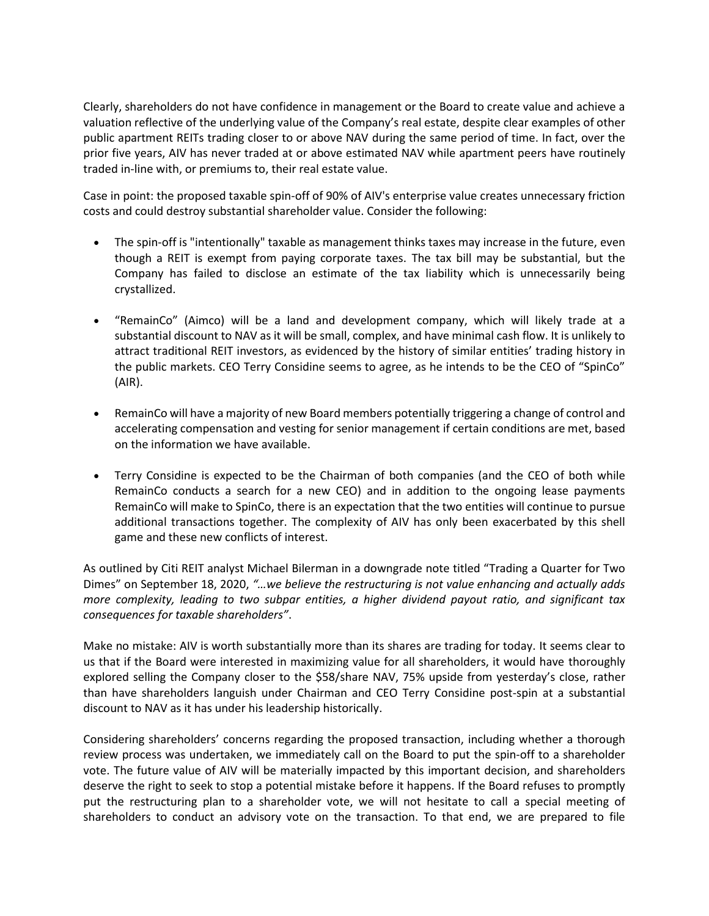Clearly, shareholders do not have confidence in management or the Board to create value and achieve a valuation reflective of the underlying value of the Company's real estate, despite clear examples of other public apartment REITs trading closer to or above NAV during the same period of time. In fact, over the prior five years, AIV has never traded at or above estimated NAV while apartment peers have routinely traded in-line with, or premiums to, their real estate value.

Case in point: the proposed taxable spin-off of 90% of AIV's enterprise value creates unnecessary friction costs and could destroy substantial shareholder value. Consider the following:

- The spin-off is "intentionally" taxable as management thinks taxes may increase in the future, even though a REIT is exempt from paying corporate taxes. The tax bill may be substantial, but the Company has failed to disclose an estimate of the tax liability which is unnecessarily being crystallized.
- "RemainCo" (Aimco) will be a land and development company, which will likely trade at a substantial discount to NAV as it will be small, complex, and have minimal cash flow. It is unlikely to attract traditional REIT investors, as evidenced by the history of similar entities' trading history in the public markets. CEO Terry Considine seems to agree, as he intends to be the CEO of "SpinCo" (AIR).
- RemainCo will have a majority of new Board members potentially triggering a change of control and accelerating compensation and vesting for senior management if certain conditions are met, based on the information we have available.
- Terry Considine is expected to be the Chairman of both companies (and the CEO of both while RemainCo conducts a search for a new CEO) and in addition to the ongoing lease payments RemainCo will make to SpinCo, there is an expectation that the two entities will continue to pursue additional transactions together. The complexity of AIV has only been exacerbated by this shell game and these new conflicts of interest.

As outlined by Citi REIT analyst Michael Bilerman in a downgrade note titled "Trading a Quarter for Two Dimes" on September 18, 2020, *"…we believe the restructuring is not value enhancing and actually adds more complexity, leading to two subpar entities, a higher dividend payout ratio, and significant tax consequences for taxable shareholders"*.

Make no mistake: AIV is worth substantially more than its shares are trading for today. It seems clear to us that if the Board were interested in maximizing value for all shareholders, it would have thoroughly explored selling the Company closer to the \$58/share NAV, 75% upside from yesterday's close, rather than have shareholders languish under Chairman and CEO Terry Considine post-spin at a substantial discount to NAV as it has under his leadership historically.

Considering shareholders' concerns regarding the proposed transaction, including whether a thorough review process was undertaken, we immediately call on the Board to put the spin-off to a shareholder vote. The future value of AIV will be materially impacted by this important decision, and shareholders deserve the right to seek to stop a potential mistake before it happens. If the Board refuses to promptly put the restructuring plan to a shareholder vote, we will not hesitate to call a special meeting of shareholders to conduct an advisory vote on the transaction. To that end, we are prepared to file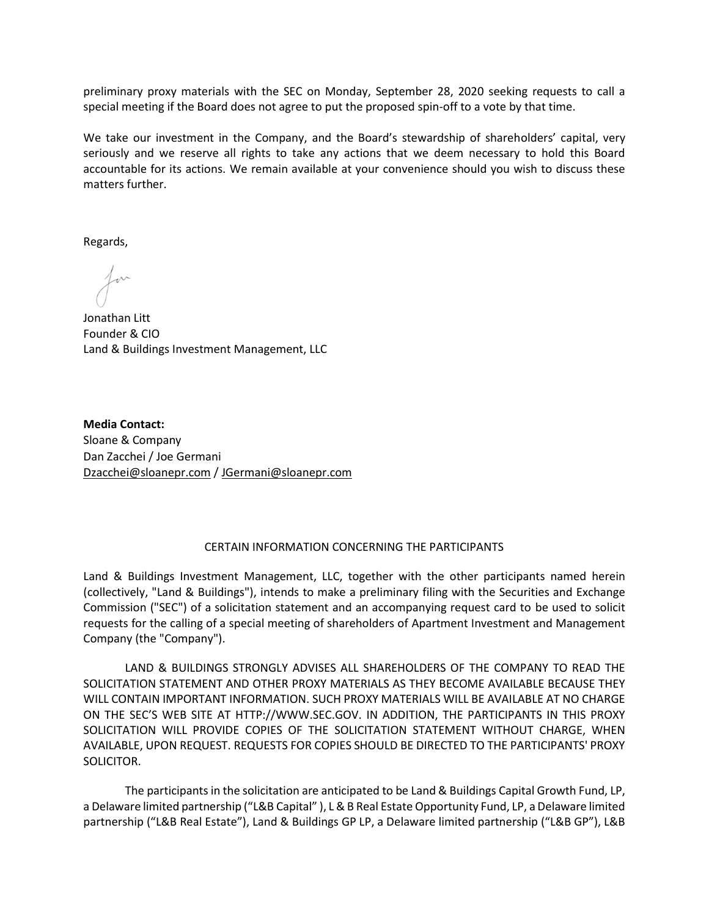preliminary proxy materials with the SEC on Monday, September 28, 2020 seeking requests to call a special meeting if the Board does not agree to put the proposed spin-off to a vote by that time.

We take our investment in the Company, and the Board's stewardship of shareholders' capital, very seriously and we reserve all rights to take any actions that we deem necessary to hold this Board accountable for its actions. We remain available at your convenience should you wish to discuss these matters further.

Regards,

Jonathan Litt Founder & CIO Land & Buildings Investment Management, LLC

**Media Contact:** Sloane & Company Dan Zacchei / Joe Germani [Dzacchei@sloanepr.com](mailto:Dzacchei@sloanepr.com) / [JGermani@sloanepr.com](mailto:JGermani@sloanepr.com)

## CERTAIN INFORMATION CONCERNING THE PARTICIPANTS

Land & Buildings Investment Management, LLC, together with the other participants named herein (collectively, "Land & Buildings"), intends to make a preliminary filing with the Securities and Exchange Commission ("SEC") of a solicitation statement and an accompanying request card to be used to solicit requests for the calling of a special meeting of shareholders of Apartment Investment and Management Company (the "Company").

LAND & BUILDINGS STRONGLY ADVISES ALL SHAREHOLDERS OF THE COMPANY TO READ THE SOLICITATION STATEMENT AND OTHER PROXY MATERIALS AS THEY BECOME AVAILABLE BECAUSE THEY WILL CONTAIN IMPORTANT INFORMATION. SUCH PROXY MATERIALS WILL BE AVAILABLE AT NO CHARGE ON THE SEC'S WEB SITE AT HTTP://WWW.SEC.GOV. IN ADDITION, THE PARTICIPANTS IN THIS PROXY SOLICITATION WILL PROVIDE COPIES OF THE SOLICITATION STATEMENT WITHOUT CHARGE, WHEN AVAILABLE, UPON REQUEST. REQUESTS FOR COPIES SHOULD BE DIRECTED TO THE PARTICIPANTS' PROXY SOLICITOR.

The participants in the solicitation are anticipated to be Land & Buildings Capital Growth Fund, LP, a Delaware limited partnership ("L&B Capital" ), L & B Real Estate Opportunity Fund, LP, a Delaware limited partnership ("L&B Real Estate"), Land & Buildings GP LP, a Delaware limited partnership ("L&B GP"), L&B